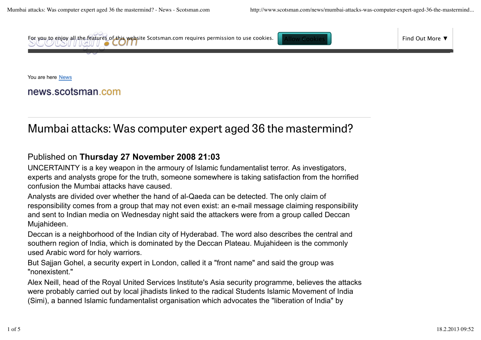

You are here News

news scotsman com

## Mumbai attacks: Was computer expert aged 36 the mastermind?

## Published on **Thursday 27 November 2008 21:03**

UNCERTAINTY is a key weapon in the armoury of Islamic fundamentalist terror. As investigators, experts and analysts grope for the truth, someone somewhere is taking satisfaction from the horrified confusion the Mumbai attacks have caused.

Analysts are divided over whether the hand of al-Qaeda can be detected. The only claim of responsibility comes from a group that may not even exist: an e-mail message claiming responsibility and sent to Indian media on Wednesday night said the attackers were from a group called Deccan Mujahideen.

Deccan is a neighborhood of the Indian city of Hyderabad. The word also describes the central and southern region of India, which is dominated by the Deccan Plateau. Mujahideen is the commonly used Arabic word for holy warriors.

But Sajjan Gohel, a security expert in London, called it a "front name" and said the group was "nonexistent."

Alex Neill, head of the Royal United Services Institute's Asia security programme, believes the attacks were probably carried out by local jihadists linked to the radical Students Islamic Movement of India (Simi), a banned Islamic fundamentalist organisation which advocates the "liberation of India" by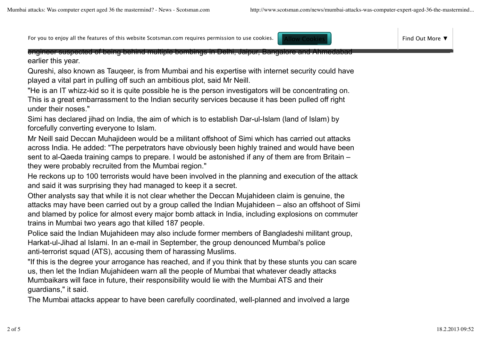For you to enjoy all the features of this website Scotsman.com requires permission to use cookies. Allow Cookies Find Out More ▼ Find Out More ▼

engineer suspected of being behind multiple bombings in Delhi, Jaipur, Bangalore and Ahmedabad earlier this year.

Qureshi, also known as Tauqeer, is from Mumbai and his expertise with internet security could have played a vital part in pulling off such an ambitious plot, said Mr Neill.

"He is an IT whizz-kid so it is quite possible he is the person investigators will be concentrating on. This is a great embarrassment to the Indian security services because it has been pulled off right under their noses."

Simi has declared jihad on India, the aim of which is to establish Dar-ul-Islam (land of Islam) by forcefully converting everyone to Islam.

Mr Neill said Deccan Muhajideen would be a militant offshoot of Simi which has carried out attacks across India. He added: "The perpetrators have obviously been highly trained and would have been sent to al-Qaeda training camps to prepare. I would be astonished if any of them are from Britain – they were probably recruited from the Mumbai region."

He reckons up to 100 terrorists would have been involved in the planning and execution of the attack and said it was surprising they had managed to keep it a secret.

Other analysts say that while it is not clear whether the Deccan Mujahideen claim is genuine, the attacks may have been carried out by a group called the Indian Mujahideen – also an offshoot of Simi and blamed by police for almost every major bomb attack in India, including explosions on commuter trains in Mumbai two years ago that killed 187 people.

Police said the Indian Mujahideen may also include former members of Bangladeshi militant group, Harkat-ul-Jihad al Islami. In an e-mail in September, the group denounced Mumbai's police anti-terrorist squad (ATS), accusing them of harassing Muslims.

"If this is the degree your arrogance has reached, and if you think that by these stunts you can scare us, then let the Indian Mujahideen warn all the people of Mumbai that whatever deadly attacks Mumbaikars will face in future, their responsibility would lie with the Mumbai ATS and their guardians," it said.

The Mumbai attacks appear to have been carefully coordinated, well-planned and involved a large

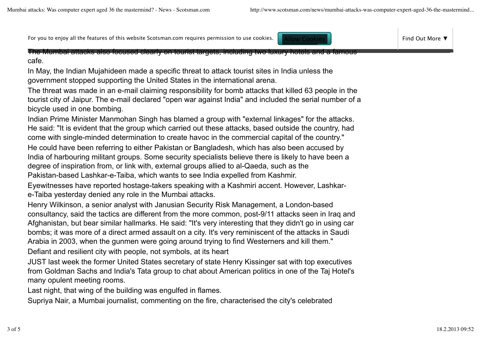For you to enjoy all the features of this website Scotsman.com requires permission to use cookies. Allow Cookies Find Out More ▼ Find Out More ▼

The Mumbai attacks also focused clearly on tourist targets, including two luxury hotels and a famous cafe.

In May, the Indian Mujahideen made a specific threat to attack tourist sites in India unless the government stopped supporting the United States in the international arena.

The threat was made in an e-mail claiming responsibility for bomb attacks that killed 63 people in the tourist city of Jaipur. The e-mail declared "open war against India" and included the serial number of a bicycle used in one bombing.

Indian Prime Minister Manmohan Singh has blamed a group with "external linkages" for the attacks. He said: "It is evident that the group which carried out these attacks, based outside the country, had come with single-minded determination to create havoc in the commercial capital of the country."

He could have been referring to either Pakistan or Bangladesh, which has also been accused by India of harbouring militant groups. Some security specialists believe there is likely to have been a degree of inspiration from, or link with, external groups allied to al-Qaeda, such as the Pakistan-based Lashkar-e-Taiba, which wants to see India expelled from Kashmir.

Eyewitnesses have reported hostage-takers speaking with a Kashmiri accent. However, Lashkare-Taiba yesterday denied any role in the Mumbai attacks.

Henry Wilkinson, a senior analyst with Janusian Security Risk Management, a London-based consultancy, said the tactics are different from the more common, post-9/11 attacks seen in Iraq and Afghanistan, but bear similar hallmarks. He said: "It's very interesting that they didn't go in using car bombs; it was more of a direct armed assault on a city. It's very reminiscent of the attacks in Saudi Arabia in 2003, when the gunmen were going around trying to find Westerners and kill them." Defiant and resilient city with people, not symbols, at its heart

JUST last week the former United States secretary of state Henry Kissinger sat with top executives from Goldman Sachs and India's Tata group to chat about American politics in one of the Taj Hotel's many opulent meeting rooms.

Last night, that wing of the building was engulfed in flames.

Supriya Nair, a Mumbai journalist, commenting on the fire, characterised the city's celebrated